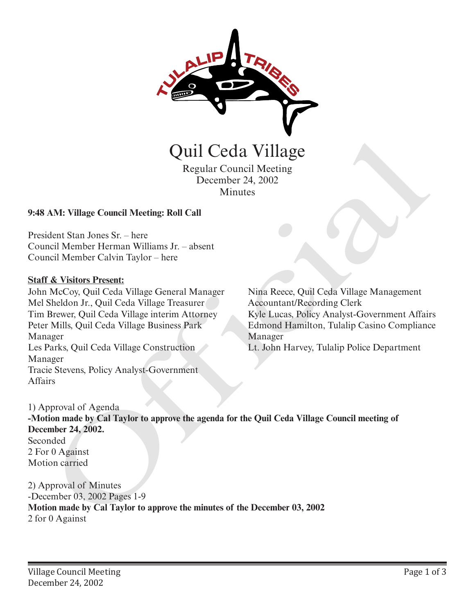

Regular Council Meeting December 24, 2002 **Minutes** 

### **9:48 AM: Village Council Meeting: Roll Call**

President Stan Jones Sr. – here Council Member Herman Williams Jr. – absent Council Member Calvin Taylor – here

#### **Staff & Visitors Present:**

John McCoy, Quil Ceda Village General Manager Mel Sheldon Jr., Quil Ceda Village Treasurer Tim Brewer, Quil Ceda Village interim Attorney Peter Mills, Quil Ceda Village Business Park Manager Les Parks, Quil Ceda Village Construction Manager Tracie Stevens, Policy Analyst-Government **Affairs** 

Nina Reece, Quil Ceda Village Management Accountant/Recording Clerk Kyle Lucas, Policy Analyst-Government Affairs Edmond Hamilton, Tulalip Casino Compliance Manager

Lt. John Harvey, Tulalip Police Department

1) Approval of Agenda **-Motion made by Cal Taylor to approve the agenda for the Quil Ceda Village Council meeting of December 24, 2002.** Seconded 2 For 0 Against Motion carried **CHI CECIA VIIIA ECONOMIC REGISTERED**<br> **EXECUTE CONDUCT THEORY CONDUCT**<br> **EXECUTE CONDUCT AND CALC THEORY AND SURFACE ON A CONDUCT THEORY CONDUCT THEORY CONDUCT THEORY CONDUCT THEORY CONDUCT THEORY OR UNIT CONDUCT AND MADE** 

2) Approval of Minutes -December 03, 2002 Pages 1-9 **Motion made by Cal Taylor to approve the minutes of the December 03, 2002**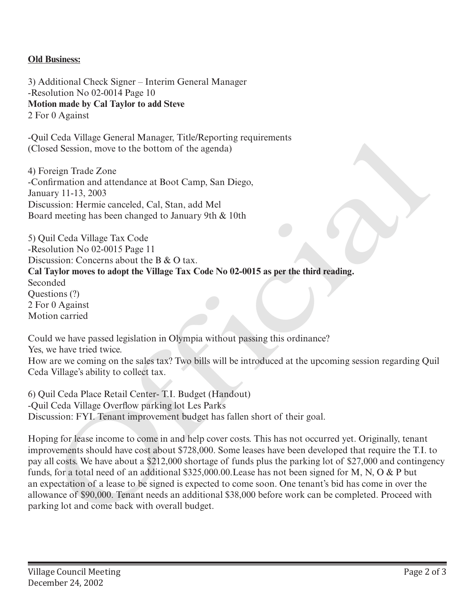# **Old Business:**

3) Additional Check Signer – Interim General Manager -Resolution No 02-0014 Page 10 **Motion made by Cal Taylor to add Steve** 2 For 0 Against

-Quil Ceda Village General Manager, Title/Reporting requirements (Closed Session, move to the bottom of the agenda)

4) Foreign Trade Zone -Confirmation and attendance at Boot Camp, San Diego, January 11-13, 2003 Discussion: Hermie canceled, Cal, Stan, add Mel Board meeting has been changed to January 9th & 10th

5) Quil Ceda Village Tax Code -Resolution No 02-0015 Page 11 Discussion: Concerns about the B & O tax. **Cal Taylor moves to adopt the Village Tax Code No 02-0015 as per the third reading.** Seconded Questions (?) 2 For 0 Against Motion carried

Could we have passed legislation in Olympia without passing this ordinance?

Yes, we have tried twice.

How are we coming on the sales tax? Two bills will be introduced at the upcoming session regarding Quil Ceda Village's ability to collect tax.

6) Quil Ceda Place Retail Center- T.I. Budget (Handout) -Quil Ceda Village Overflow parking lot Les Parks Discussion: FYI. Tenant improvement budget has fallen short of their goal.

Hoping for lease income to come in and help cover costs. This has not occurred yet. Originally, tenant improvements should have cost about \$728,000. Some leases have been developed that require the T.I. to pay all costs. We have about a \$212,000 shortage of funds plus the parking lot of \$27,000 and contingency funds, for a total need of an additional \$325,000.00.Lease has not been signed for M, N, O & P but an expectation of a lease to be signed is expected to come soon. One tenant's bid has come in over the allowance of \$90,000. Tenant needs an additional \$38,000 before work can be completed. Proceed with -Quil Ceda Village Oterland Manage ( rife/keeporting requirements<br>
(Closed Session, move to the bottom of the agenda)<br>
4) Foreign Trade Zone<br>
-Confirmation and attendance at Boot Camp, San Diego,<br>
-Confirmation and attenda